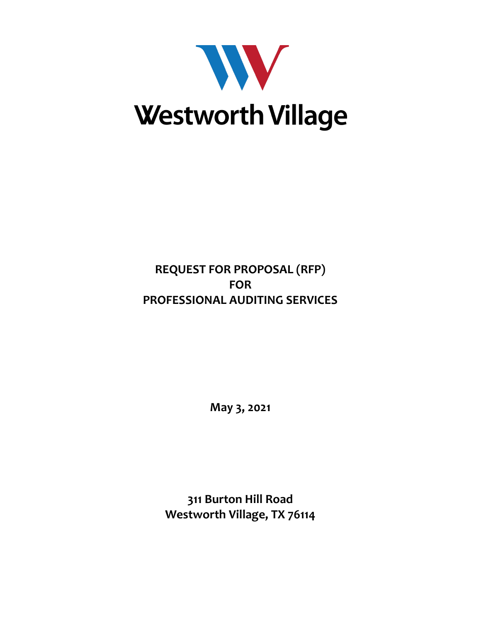

# **REQUEST FOR PROPOSAL (RFP) FOR PROFESSIONAL AUDITING SERVICES**

**May 3, 2021**

**311 Burton Hill Road Westworth Village, TX 76114**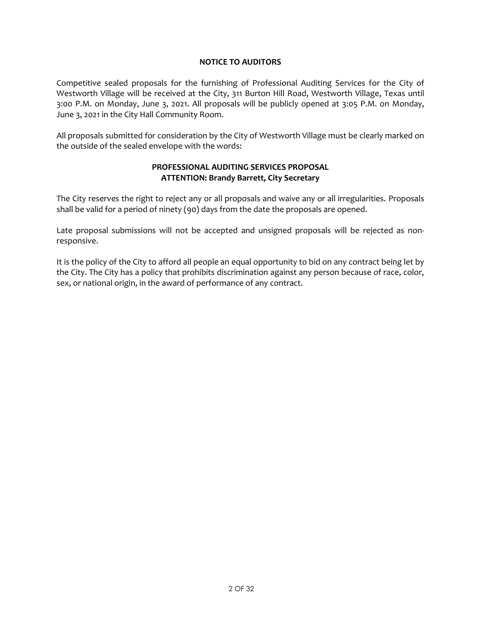#### **NOTICE TO AUDITORS**

Competitive sealed proposals for the furnishing of Professional Auditing Services for the City of Westworth Village will be received at the City, 311 Burton Hill Road, Westworth Village, Texas until 3:00 P.M. on Monday, June 3, 2021. All proposals will be publicly opened at 3:05 P.M. on Monday, June 3, 2021 in the City Hall Community Room.

All proposals submitted for consideration by the City of Westworth Village must be clearly marked on the outside of the sealed envelope with the words:

#### **PROFESSIONAL AUDITING SERVICES PROPOSAL ATTENTION: Brandy Barrett, City Secretary**

The City reserves the right to reject any or all proposals and waive any or all irregularities. Proposals shall be valid for a period of ninety (90) days from the date the proposals are opened.

Late proposal submissions will not be accepted and unsigned proposals will be rejected as nonresponsive.

It is the policy of the City to afford all people an equal opportunity to bid on any contract being let by the City. The City has a policy that prohibits discrimination against any person because of race, color, sex, or national origin, in the award of performance of any contract.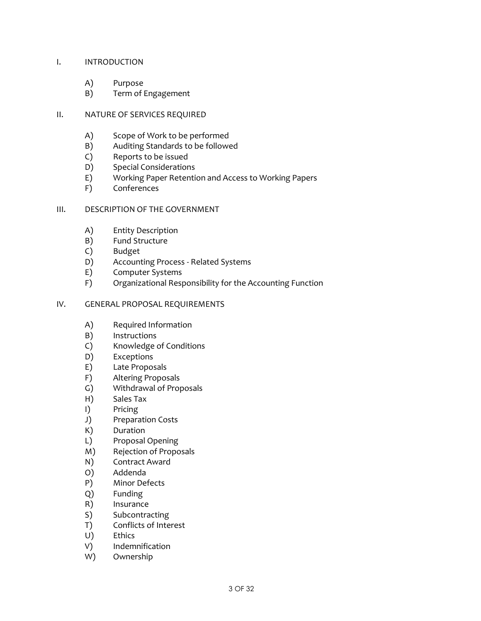#### I. INTRODUCTION

- A) Purpose
- B) Term of Engagement

#### II. NATURE OF SERVICES REQUIRED

- A) Scope of Work to be performed
- B) Auditing Standards to be followed
- C) Reports to be issued
- D) Special Considerations
- E) Working Paper Retention and Access to Working Papers
- F) Conferences

#### III. DESCRIPTION OF THE GOVERNMENT

- A) Entity Description
- B) Fund Structure
- C) Budget
- D) Accounting Process Related Systems
- E) Computer Systems
- F) Organizational Responsibility for the Accounting Function

#### IV. GENERAL PROPOSAL REQUIREMENTS

- A) Required Information
- B) Instructions
- C) Knowledge of Conditions
- D) Exceptions
- E) Late Proposals
- F) Altering Proposals
- G) Withdrawal of Proposals
- H) Sales Tax
- I) Pricing
- J) Preparation Costs
- K) Duration
- L) Proposal Opening
- M) Rejection of Proposals
- N) Contract Award
- O) Addenda
- P) Minor Defects
- Q) Funding
- R) Insurance
- S) Subcontracting
- T) Conflicts of Interest
- U) Ethics
- V) Indemnification
- W) Ownership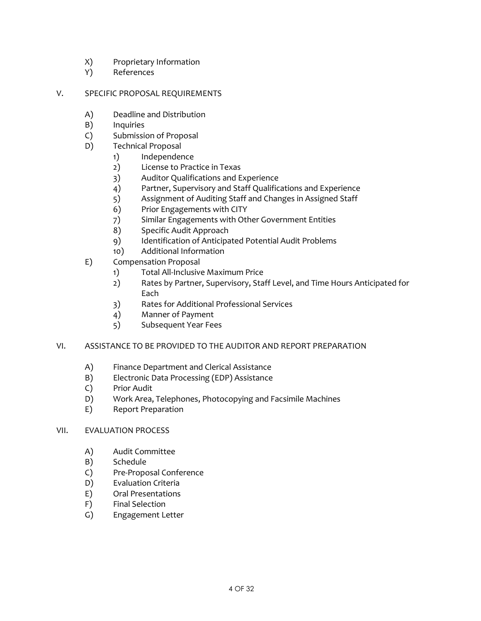- X) Proprietary Information
- Y) References

#### V. SPECIFIC PROPOSAL REQUIREMENTS

- A) Deadline and Distribution
- B) Inquiries
- C) Submission of Proposal
- D) Technical Proposal
	- 1) Independence
	- 2) License to Practice in Texas
	- 3) Auditor Qualifications and Experience
	- 4) Partner, Supervisory and Staff Qualifications and Experience
	- 5) Assignment of Auditing Staff and Changes in Assigned Staff
	- 6) Prior Engagements with CITY
	- 7) Similar Engagements with Other Government Entities
	- 8) Specific Audit Approach
	- 9) Identification of Anticipated Potential Audit Problems
	- 10) Additional Information
- E) Compensation Proposal
	- 1) Total All-Inclusive Maximum Price
	- 2) Rates by Partner, Supervisory, Staff Level, and Time Hours Anticipated for Each
	- 3) Rates for Additional Professional Services
	- 4) Manner of Payment
	- 5) Subsequent Year Fees

# VI. ASSISTANCE TO BE PROVIDED TO THE AUDITOR AND REPORT PREPARATION

- A) Finance Department and Clerical Assistance
- B) Electronic Data Processing (EDP) Assistance
- C) Prior Audit
- D) Work Area, Telephones, Photocopying and Facsimile Machines
- E) Report Preparation

#### VII. EVALUATION PROCESS

- A) Audit Committee
- B) Schedule
- C) Pre-Proposal Conference
- D) Evaluation Criteria
- E) Oral Presentations
- F) Final Selection
- G) Engagement Letter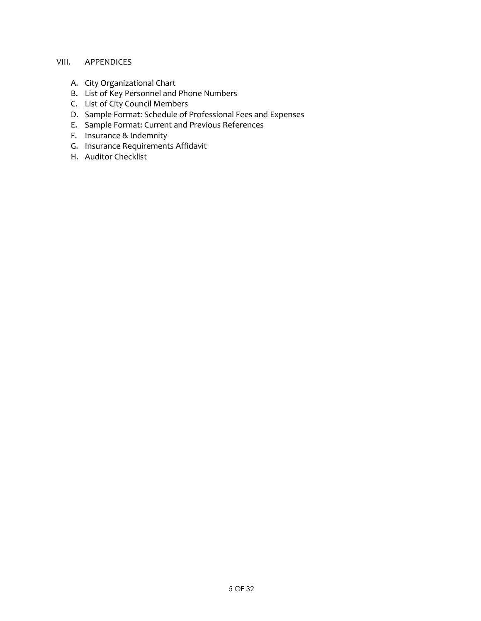# VIII. APPENDICES

- A. City Organizational Chart
- B. List of Key Personnel and Phone Numbers
- C. List of City Council Members
- D. Sample Format: Schedule of Professional Fees and Expenses
- E. Sample Format: Current and Previous References
- F. Insurance & Indemnity
- G. Insurance Requirements Affidavit
- H. Auditor Checklist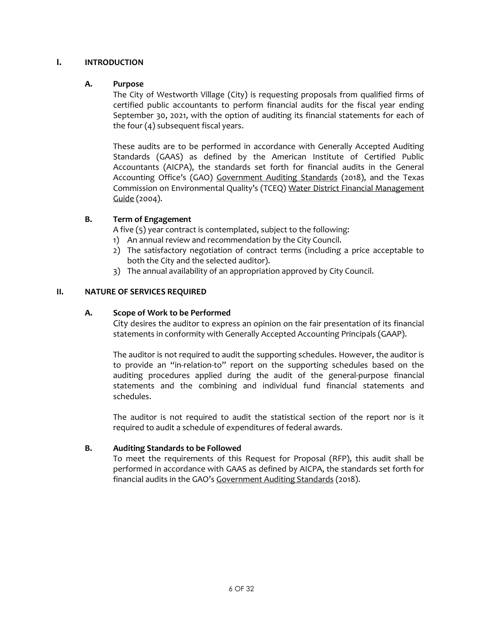#### **I. INTRODUCTION**

#### **A. Purpose**

The City of Westworth Village (City) is requesting proposals from qualified firms of certified public accountants to perform financial audits for the fiscal year ending September 30, 2021, with the option of auditing its financial statements for each of the four (4) subsequent fiscal years.

These audits are to be performed in accordance with Generally Accepted Auditing Standards (GAAS) as defined by the American Institute of Certified Public Accountants (AICPA), the standards set forth for financial audits in the General Accounting Office's (GAO) Government Auditing Standards (2018), and the Texas Commission on Environmental Quality's (TCEQ) Water District Financial Management Guide (2004).

#### **B. Term of Engagement**

A five (5) year contract is contemplated, subject to the following:

- 1) An annual review and recommendation by the City Council.
- 2) The satisfactory negotiation of contract terms (including a price acceptable to both the City and the selected auditor).
- 3) The annual availability of an appropriation approved by City Council.

#### **II. NATURE OF SERVICES REQUIRED**

#### **A. Scope of Work to be Performed**

City desires the auditor to express an opinion on the fair presentation of its financial statements in conformity with Generally Accepted Accounting Principals (GAAP).

The auditor is not required to audit the supporting schedules. However, the auditor is to provide an "in-relation-to" report on the supporting schedules based on the auditing procedures applied during the audit of the general-purpose financial statements and the combining and individual fund financial statements and schedules.

The auditor is not required to audit the statistical section of the report nor is it required to audit a schedule of expenditures of federal awards.

#### **B. Auditing Standards to be Followed**

To meet the requirements of this Request for Proposal (RFP), this audit shall be performed in accordance with GAAS as defined by AICPA, the standards set forth for financial audits in the GAO's Government Auditing Standards (2018).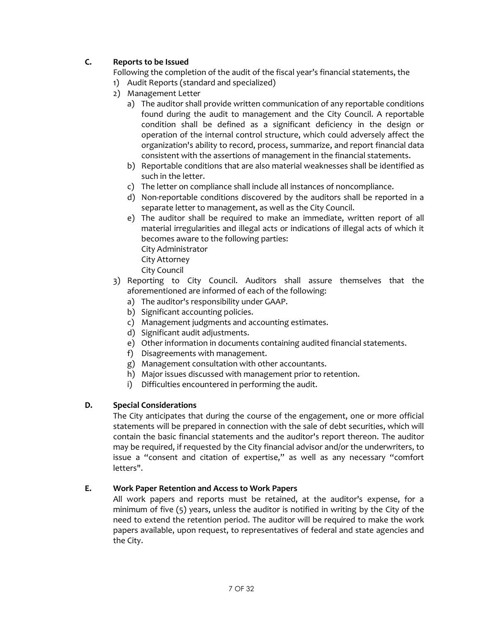# **C. Reports to be Issued**

Following the completion of the audit of the fiscal year's financial statements, the

- 1) Audit Reports (standard and specialized)
- 2) Management Letter
	- a) The auditor shall provide written communication of any reportable conditions found during the audit to management and the City Council. A reportable condition shall be defined as a significant deficiency in the design or operation of the internal control structure, which could adversely affect the organization's ability to record, process, summarize, and report financial data consistent with the assertions of management in the financial statements.
	- b) Reportable conditions that are also material weaknesses shall be identified as such in the letter.
	- c) The letter on compliance shall include all instances of noncompliance.
	- d) Non-reportable conditions discovered by the auditors shall be reported in a separate letter to management, as well as the City Council.
	- e) The auditor shall be required to make an immediate, written report of all material irregularities and illegal acts or indications of illegal acts of which it becomes aware to the following parties: City Administrator City Attorney
		-
		- City Council
- 3) Reporting to City Council. Auditors shall assure themselves that the aforementioned are informed of each of the following:
	- a) The auditor's responsibility under GAAP.
	- b) Significant accounting policies.
	- c) Management judgments and accounting estimates.
	- d) Significant audit adjustments.
	- e) Other information in documents containing audited financial statements.
	- f) Disagreements with management.
	- g) Management consultation with other accountants.
	- h) Major issues discussed with management prior to retention.
	- i) Difficulties encountered in performing the audit.

#### **D. Special Considerations**

The City anticipates that during the course of the engagement, one or more official statements will be prepared in connection with the sale of debt securities, which will contain the basic financial statements and the auditor's report thereon. The auditor may be required, if requested by the City financial advisor and/or the underwriters, to issue a "consent and citation of expertise," as well as any necessary "comfort letters".

#### **E. Work Paper Retention and Access to Work Papers**

All work papers and reports must be retained, at the auditor's expense, for a minimum of five (5) years, unless the auditor is notified in writing by the City of the need to extend the retention period. The auditor will be required to make the work papers available, upon request, to representatives of federal and state agencies and the City.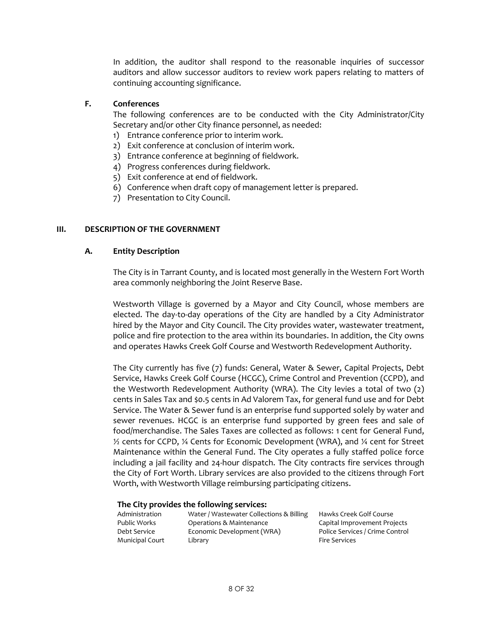In addition, the auditor shall respond to the reasonable inquiries of successor auditors and allow successor auditors to review work papers relating to matters of continuing accounting significance.

### **F. Conferences**

The following conferences are to be conducted with the City Administrator/City Secretary and/or other City finance personnel, as needed:

- 1) Entrance conference prior to interim work.
- 2) Exit conference at conclusion of interim work.
- 3) Entrance conference at beginning of fieldwork.
- 4) Progress conferences during fieldwork.
- 5) Exit conference at end of fieldwork.
- 6) Conference when draft copy of management letter is prepared.
- 7) Presentation to City Council.

#### **III. DESCRIPTION OF THE GOVERNMENT**

#### **A. Entity Description**

The City is in Tarrant County, and is located most generally in the Western Fort Worth area commonly neighboring the Joint Reserve Base.

Westworth Village is governed by a Mayor and City Council, whose members are elected. The day-to-day operations of the City are handled by a City Administrator hired by the Mayor and City Council. The City provides water, wastewater treatment, police and fire protection to the area within its boundaries. In addition, the City owns and operates Hawks Creek Golf Course and Westworth Redevelopment Authority.

The City currently has five (7) funds: General, Water & Sewer, Capital Projects, Debt Service, Hawks Creek Golf Course (HCGC), Crime Control and Prevention (CCPD), and the Westworth Redevelopment Authority (WRA). The City levies a total of two (2) cents in Sales Tax and \$0.5 cents in Ad Valorem Tax, for general fund use and for Debt Service. The Water & Sewer fund is an enterprise fund supported solely by water and sewer revenues. HCGC is an enterprise fund supported by green fees and sale of food/merchandise. The Sales Taxes are collected as follows: 1 cent for General Fund, ½ cents for CCPD, ¼ Cents for Economic Development (WRA), and ¼ cent for Street Maintenance within the General Fund. The City operates a fully staffed police force including a jail facility and 24-hour dispatch. The City contracts fire services through the City of Fort Worth. Library services are also provided to the citizens through Fort Worth, with Westworth Village reimbursing participating citizens.

#### **The City provides the following services:**

| Administration         | Water / Wastewater Collections & Billing | Hawks Creek          |
|------------------------|------------------------------------------|----------------------|
| Public Works           | Operations & Maintenance                 | Capital Impro        |
| Debt Service           | Economic Development (WRA)               | <b>Police Servic</b> |
| <b>Municipal Court</b> | Library                                  | <b>Fire Services</b> |
|                        |                                          |                      |

ks Creek Golf Course ital Improvement Projects ce Services / Crime Control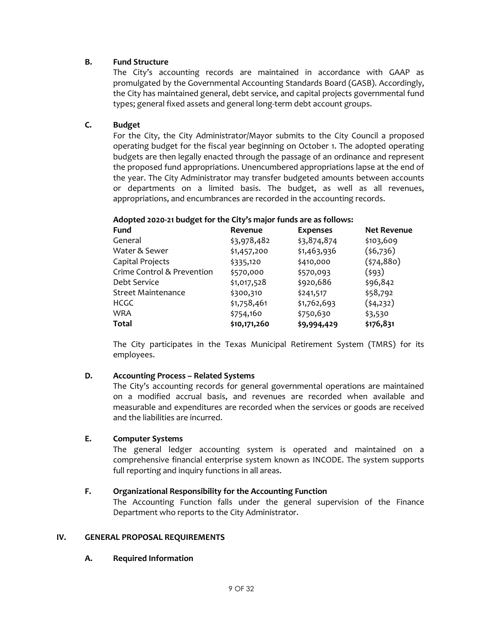#### **B. Fund Structure**

The City's accounting records are maintained in accordance with GAAP as promulgated by the Governmental Accounting Standards Board (GASB). Accordingly, the City has maintained general, debt service, and capital projects governmental fund types; general fixed assets and general long-term debt account groups.

# **C. Budget**

For the City, the City Administrator/Mayor submits to the City Council a proposed operating budget for the fiscal year beginning on October 1. The adopted operating budgets are then legally enacted through the passage of an ordinance and represent the proposed fund appropriations. Unencumbered appropriations lapse at the end of the year. The City Administrator may transfer budgeted amounts between accounts or departments on a limited basis. The budget, as well as all revenues, appropriations, and encumbrances are recorded in the accounting records.

# **Adopted 2020-21 budget for the City's major funds are as follows:**

| <b>Fund</b>                | Revenue      | <b>Expenses</b> | <b>Net Revenue</b> |
|----------------------------|--------------|-----------------|--------------------|
| General                    | \$3,978,482  | \$3,874,874     | \$103,609          |
| Water & Sewer              | \$1,457,200  | \$1,463,936     | (56,736)           |
| Capital Projects           | \$335,120    | \$410,000       | (574, 880)         |
| Crime Control & Prevention | \$570,000    | \$570,093       | (593)              |
| Debt Service               | \$1,017,528  | \$920,686       | \$96,842           |
| <b>Street Maintenance</b>  | \$300,310    | \$241,517       | \$58,792           |
| <b>HCGC</b>                | \$1,758,461  | \$1,762,693     | (54,232)           |
| <b>WRA</b>                 | \$754,160    | \$750,630       | \$3,530            |
| <b>Total</b>               | \$10,171,260 | \$9,994,429     | \$176,831          |

The City participates in the Texas Municipal Retirement System (TMRS) for its employees.

#### **D. Accounting Process – Related Systems**

The City's accounting records for general governmental operations are maintained on a modified accrual basis, and revenues are recorded when available and measurable and expenditures are recorded when the services or goods are received and the liabilities are incurred.

#### **E. Computer Systems**

The general ledger accounting system is operated and maintained on a comprehensive financial enterprise system known as INCODE. The system supports full reporting and inquiry functions in all areas.

#### **F. Organizational Responsibility for the Accounting Function**

The Accounting Function falls under the general supervision of the Finance Department who reports to the City Administrator.

#### **IV. GENERAL PROPOSAL REQUIREMENTS**

#### **A. Required Information**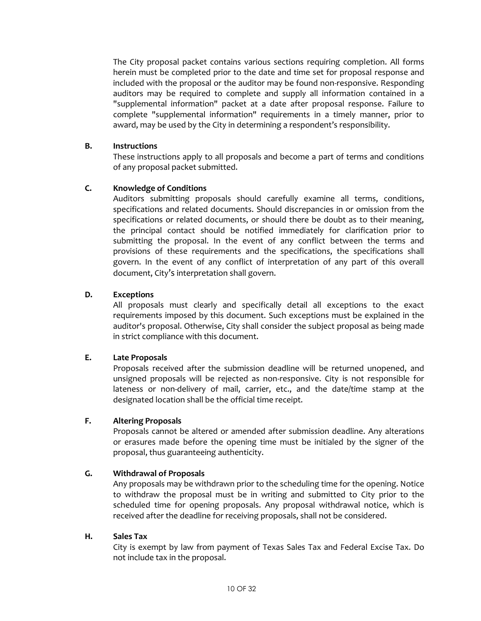The City proposal packet contains various sections requiring completion. All forms herein must be completed prior to the date and time set for proposal response and included with the proposal or the auditor may be found non-responsive. Responding auditors may be required to complete and supply all information contained in a "supplemental information" packet at a date after proposal response. Failure to complete "supplemental information" requirements in a timely manner, prior to award, may be used by the City in determining a respondent's responsibility.

#### **B. Instructions**

These instructions apply to all proposals and become a part of terms and conditions of any proposal packet submitted.

#### **C. Knowledge of Conditions**

Auditors submitting proposals should carefully examine all terms, conditions, specifications and related documents. Should discrepancies in or omission from the specifications or related documents, or should there be doubt as to their meaning, the principal contact should be notified immediately for clarification prior to submitting the proposal. In the event of any conflict between the terms and provisions of these requirements and the specifications, the specifications shall govern. In the event of any conflict of interpretation of any part of this overall document, City's interpretation shall govern.

#### **D. Exceptions**

All proposals must clearly and specifically detail all exceptions to the exact requirements imposed by this document. Such exceptions must be explained in the auditor's proposal. Otherwise, City shall consider the subject proposal as being made in strict compliance with this document.

#### **E. Late Proposals**

Proposals received after the submission deadline will be returned unopened, and unsigned proposals will be rejected as non-responsive. City is not responsible for lateness or non-delivery of mail, carrier, etc., and the date/time stamp at the designated location shall be the official time receipt.

#### **F. Altering Proposals**

Proposals cannot be altered or amended after submission deadline. Any alterations or erasures made before the opening time must be initialed by the signer of the proposal, thus guaranteeing authenticity.

#### **G. Withdrawal of Proposals**

Any proposals may be withdrawn prior to the scheduling time for the opening. Notice to withdraw the proposal must be in writing and submitted to City prior to the scheduled time for opening proposals. Any proposal withdrawal notice, which is received after the deadline for receiving proposals, shall not be considered.

#### **H. Sales Tax**

City is exempt by law from payment of Texas Sales Tax and Federal Excise Tax. Do not include tax in the proposal.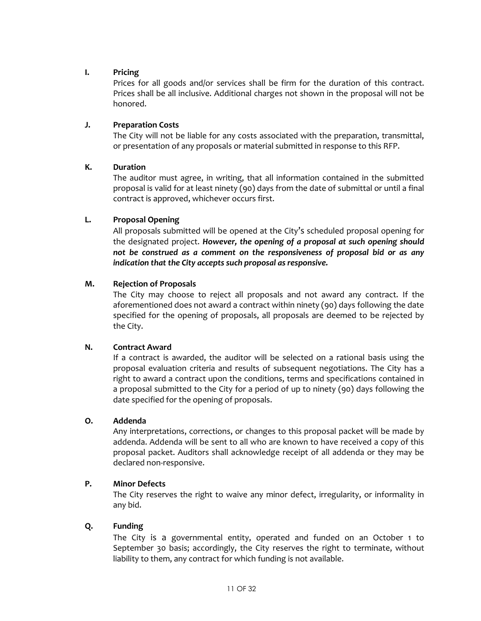#### **I. Pricing**

Prices for all goods and/or services shall be firm for the duration of this contract. Prices shall be all inclusive. Additional charges not shown in the proposal will not be honored.

#### **J. Preparation Costs**

The City will not be liable for any costs associated with the preparation, transmittal, or presentation of any proposals or material submitted in response to this RFP.

#### **K. Duration**

The auditor must agree, in writing, that all information contained in the submitted proposal is valid for at least ninety (90) days from the date of submittal or until a final contract is approved, whichever occurs first.

#### **L. Proposal Opening**

All proposals submitted will be opened at the City's scheduled proposal opening for the designated project. *However, the opening of a proposal at such opening should not be construed as a comment on the responsiveness of proposal bid or as any indication that the City accepts such proposal as responsive.*

#### **M. Rejection of Proposals**

The City may choose to reject all proposals and not award any contract. If the aforementioned does not award a contract within ninety (90) days following the date specified for the opening of proposals, all proposals are deemed to be rejected by the City.

#### **N. Contract Award**

If a contract is awarded, the auditor will be selected on a rational basis using the proposal evaluation criteria and results of subsequent negotiations. The City has a right to award a contract upon the conditions, terms and specifications contained in a proposal submitted to the City for a period of up to ninety (90) days following the date specified for the opening of proposals.

#### **O. Addenda**

Any interpretations, corrections, or changes to this proposal packet will be made by addenda. Addenda will be sent to all who are known to have received a copy of this proposal packet. Auditors shall acknowledge receipt of all addenda or they may be declared non-responsive.

#### **P. Minor Defects**

The City reserves the right to waive any minor defect, irregularity, or informality in any bid.

#### **Q. Funding**

The City is a governmental entity, operated and funded on an October 1 to September 30 basis; accordingly, the City reserves the right to terminate, without liability to them, any contract for which funding is not available.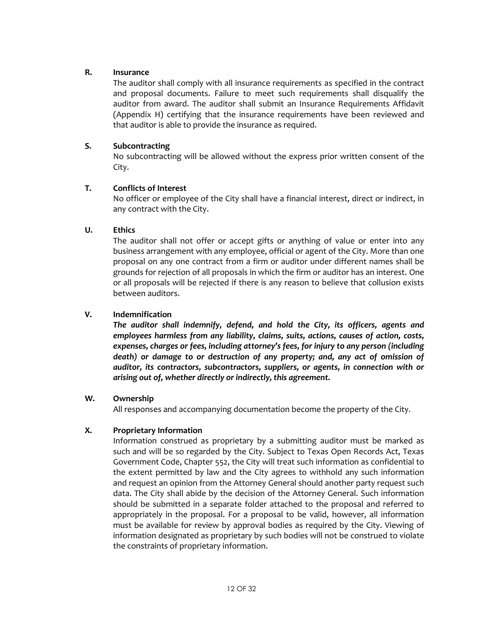#### **R. Insurance**

The auditor shall comply with all insurance requirements as specified in the contract and proposal documents. Failure to meet such requirements shall disqualify the auditor from award. The auditor shall submit an Insurance Requirements Affidavit (Appendix H) certifying that the insurance requirements have been reviewed and that auditor is able to provide the insurance as required.

#### **S. Subcontracting**

No subcontracting will be allowed without the express prior written consent of the City.

#### **T. Conflicts of Interest**

No officer or employee of the City shall have a financial interest, direct or indirect, in any contract with the City.

#### **U. Ethics**

The auditor shall not offer or accept gifts or anything of value or enter into any business arrangement with any employee, official or agent of the City. More than one proposal on any one contract from a firm or auditor under different names shall be grounds for rejection of all proposals in which the firm or auditor has an interest. One or all proposals will be rejected if there is any reason to believe that collusion exists between auditors.

#### **V. Indemnification**

*The auditor shall indemnify, defend, and hold the City, its officers, agents and employees harmless from any liability, claims, suits, actions, causes of action, costs, expenses, charges or fees, including attorney's fees, for injury to any person (including death) or damage to or destruction of any property; and, any act of omission of auditor, its contractors, subcontractors, suppliers, or agents, in connection with or arising out of, whether directly or indirectly, this agreement.*

#### **W. Ownership**

All responses and accompanying documentation become the property of the City.

#### **X. Proprietary Information**

Information construed as proprietary by a submitting auditor must be marked as such and will be so regarded by the City. Subject to Texas Open Records Act, Texas Government Code, Chapter 552, the City will treat such information as confidential to the extent permitted by law and the City agrees to withhold any such information and request an opinion from the Attorney General should another party request such data. The City shall abide by the decision of the Attorney General. Such information should be submitted in a separate folder attached to the proposal and referred to appropriately in the proposal. For a proposal to be valid, however, all information must be available for review by approval bodies as required by the City. Viewing of information designated as proprietary by such bodies will not be construed to violate the constraints of proprietary information.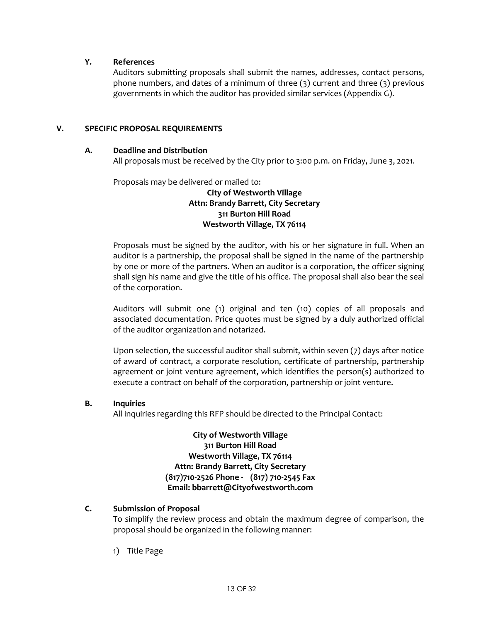#### **Y. References**

Auditors submitting proposals shall submit the names, addresses, contact persons, phone numbers, and dates of a minimum of three (3) current and three (3) previous governments in which the auditor has provided similar services (Appendix G).

#### **V. SPECIFIC PROPOSAL REQUIREMENTS**

#### **A. Deadline and Distribution**

All proposals must be received by the City prior to 3:00 p.m. on Friday, June 3, 2021.

Proposals may be delivered or mailed to:

#### **City of Westworth Village Attn: Brandy Barrett, City Secretary 311 Burton Hill Road Westworth Village, TX 76114**

Proposals must be signed by the auditor, with his or her signature in full. When an auditor is a partnership, the proposal shall be signed in the name of the partnership by one or more of the partners. When an auditor is a corporation, the officer signing shall sign his name and give the title of his office. The proposal shall also bear the seal of the corporation.

Auditors will submit one (1) original and ten (10) copies of all proposals and associated documentation. Price quotes must be signed by a duly authorized official of the auditor organization and notarized.

Upon selection, the successful auditor shall submit, within seven (7) days after notice of award of contract, a corporate resolution, certificate of partnership, partnership agreement or joint venture agreement, which identifies the person(s) authorized to execute a contract on behalf of the corporation, partnership or joint venture.

#### **B. Inquiries**

All inquiries regarding this RFP should be directed to the Principal Contact:

**City of Westworth Village 311 Burton Hill Road Westworth Village, TX 76114 Attn: Brandy Barrett, City Secretary (817)710-2526 Phone - (817) 710-2545 Fax Email: bbarrett@Cityofwestworth.com**

#### **C. Submission of Proposal**

To simplify the review process and obtain the maximum degree of comparison, the proposal should be organized in the following manner:

1) Title Page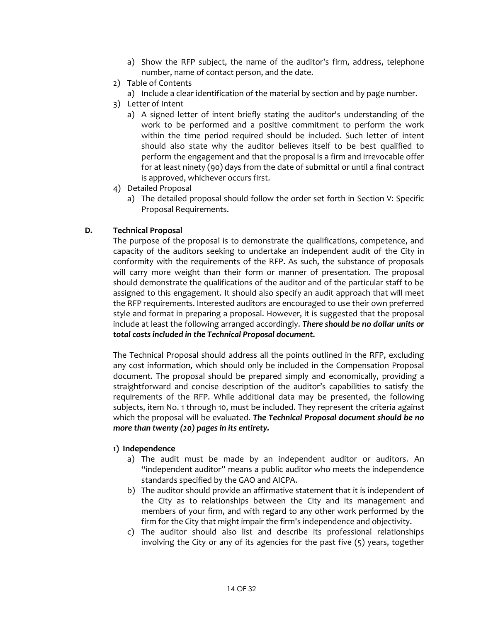- a) Show the RFP subject, the name of the auditor's firm, address, telephone number, name of contact person, and the date.
- 2) Table of Contents
	- a) Include a clear identification of the material by section and by page number.
- 3) Letter of Intent
	- a) A signed letter of intent briefly stating the auditor's understanding of the work to be performed and a positive commitment to perform the work within the time period required should be included. Such letter of intent should also state why the auditor believes itself to be best qualified to perform the engagement and that the proposal is a firm and irrevocable offer for at least ninety (90) days from the date of submittal or until a final contract is approved, whichever occurs first.
- 4) Detailed Proposal
	- a) The detailed proposal should follow the order set forth in Section V: Specific Proposal Requirements.

#### **D. Technical Proposal**

The purpose of the proposal is to demonstrate the qualifications, competence, and capacity of the auditors seeking to undertake an independent audit of the City in conformity with the requirements of the RFP. As such, the substance of proposals will carry more weight than their form or manner of presentation. The proposal should demonstrate the qualifications of the auditor and of the particular staff to be assigned to this engagement. It should also specify an audit approach that will meet the RFP requirements. Interested auditors are encouraged to use their own preferred style and format in preparing a proposal. However, it is suggested that the proposal include at least the following arranged accordingly. *There should be no dollar units or total costs included in the Technical Proposal document.*

The Technical Proposal should address all the points outlined in the RFP, excluding any cost information, which should only be included in the Compensation Proposal document. The proposal should be prepared simply and economically, providing a straightforward and concise description of the auditor's capabilities to satisfy the requirements of the RFP. While additional data may be presented, the following subjects, item No. 1 through 10, must be included. They represent the criteria against which the proposal will be evaluated. *The Technical Proposal document should be no more than twenty (20) pages in its entirety.*

#### **1) Independence**

- a) The audit must be made by an independent auditor or auditors. An "independent auditor" means a public auditor who meets the independence standards specified by the GAO and AICPA.
- b) The auditor should provide an affirmative statement that it is independent of the City as to relationships between the City and its management and members of your firm, and with regard to any other work performed by the firm for the City that might impair the firm's independence and objectivity.
- c) The auditor should also list and describe its professional relationships involving the City or any of its agencies for the past five (5) years, together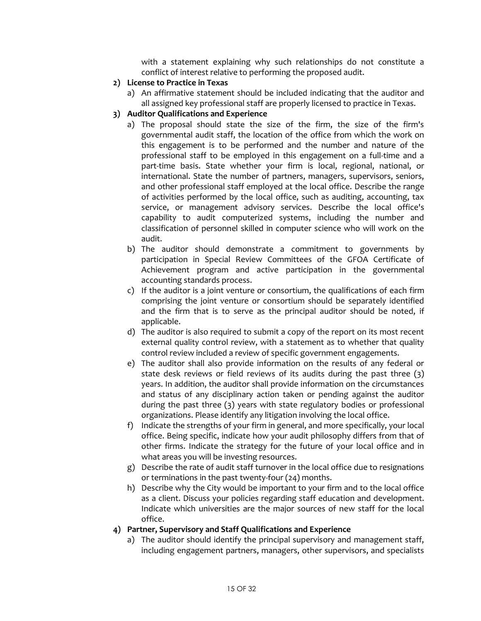with a statement explaining why such relationships do not constitute a conflict of interest relative to performing the proposed audit.

- **2) License to Practice in Texas**
	- a) An affirmative statement should be included indicating that the auditor and all assigned key professional staff are properly licensed to practice in Texas.
- **3) Auditor Qualifications and Experience**
	- a) The proposal should state the size of the firm, the size of the firm's governmental audit staff, the location of the office from which the work on this engagement is to be performed and the number and nature of the professional staff to be employed in this engagement on a full-time and a part-time basis. State whether your firm is local, regional, national, or international. State the number of partners, managers, supervisors, seniors, and other professional staff employed at the local office. Describe the range of activities performed by the local office, such as auditing, accounting, tax service, or management advisory services. Describe the local office's capability to audit computerized systems, including the number and classification of personnel skilled in computer science who will work on the audit.
	- b) The auditor should demonstrate a commitment to governments by participation in Special Review Committees of the GFOA Certificate of Achievement program and active participation in the governmental accounting standards process.
	- c) If the auditor is a joint venture or consortium, the qualifications of each firm comprising the joint venture or consortium should be separately identified and the firm that is to serve as the principal auditor should be noted, if applicable.
	- d) The auditor is also required to submit a copy of the report on its most recent external quality control review, with a statement as to whether that quality control review included a review of specific government engagements.
	- e) The auditor shall also provide information on the results of any federal or state desk reviews or field reviews of its audits during the past three (3) years. In addition, the auditor shall provide information on the circumstances and status of any disciplinary action taken or pending against the auditor during the past three (3) years with state regulatory bodies or professional organizations. Please identify any litigation involving the local office.
	- f) Indicate the strengths of your firm in general, and more specifically, your local office. Being specific, indicate how your audit philosophy differs from that of other firms. Indicate the strategy for the future of your local office and in what areas you will be investing resources.
	- g) Describe the rate of audit staff turnover in the local office due to resignations or terminations in the past twenty-four (24) months.
	- h) Describe why the City would be important to your firm and to the local office as a client. Discuss your policies regarding staff education and development. Indicate which universities are the major sources of new staff for the local office.
- **4) Partner, Supervisory and Staff Qualifications and Experience**
	- a) The auditor should identify the principal supervisory and management staff, including engagement partners, managers, other supervisors, and specialists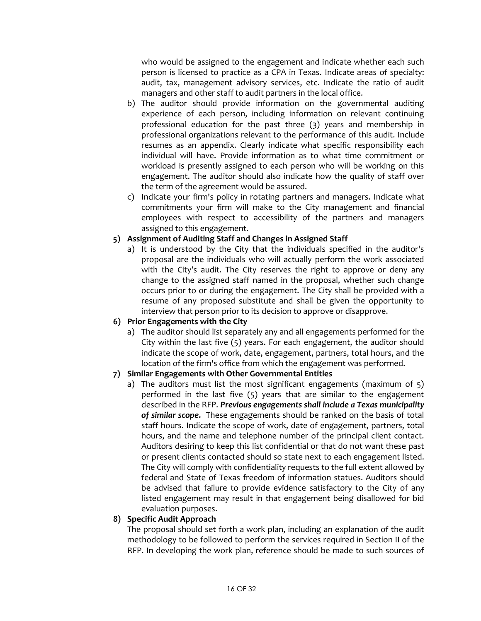who would be assigned to the engagement and indicate whether each such person is licensed to practice as a CPA in Texas. Indicate areas of specialty: audit, tax, management advisory services, etc. Indicate the ratio of audit managers and other staff to audit partners in the local office.

- b) The auditor should provide information on the governmental auditing experience of each person, including information on relevant continuing professional education for the past three (3) years and membership in professional organizations relevant to the performance of this audit. Include resumes as an appendix. Clearly indicate what specific responsibility each individual will have. Provide information as to what time commitment or workload is presently assigned to each person who will be working on this engagement. The auditor should also indicate how the quality of staff over the term of the agreement would be assured.
- c) Indicate your firm's policy in rotating partners and managers. Indicate what commitments your firm will make to the City management and financial employees with respect to accessibility of the partners and managers assigned to this engagement.

#### **5) Assignment of Auditing Staff and Changes in Assigned Staff**

a) It is understood by the City that the individuals specified in the auditor's proposal are the individuals who will actually perform the work associated with the City's audit. The City reserves the right to approve or deny any change to the assigned staff named in the proposal, whether such change occurs prior to or during the engagement. The City shall be provided with a resume of any proposed substitute and shall be given the opportunity to interview that person prior to its decision to approve or disapprove.

#### **6) Prior Engagements with the City**

a) The auditor should list separately any and all engagements performed for the City within the last five (5) years. For each engagement, the auditor should indicate the scope of work, date, engagement, partners, total hours, and the location of the firm's office from which the engagement was performed.

# **7) Similar Engagements with Other Governmental Entities**

a) The auditors must list the most significant engagements (maximum of 5) performed in the last five (5) years that are similar to the engagement described in the RFP. *Previous engagements shall include a Texas municipality of similar scope***.** These engagements should be ranked on the basis of total staff hours. Indicate the scope of work, date of engagement, partners, total hours, and the name and telephone number of the principal client contact. Auditors desiring to keep this list confidential or that do not want these past or present clients contacted should so state next to each engagement listed. The City will comply with confidentiality requests to the full extent allowed by federal and State of Texas freedom of information statues. Auditors should be advised that failure to provide evidence satisfactory to the City of any listed engagement may result in that engagement being disallowed for bid evaluation purposes.

#### **8) Specific Audit Approach**

The proposal should set forth a work plan, including an explanation of the audit methodology to be followed to perform the services required in Section II of the RFP. In developing the work plan, reference should be made to such sources of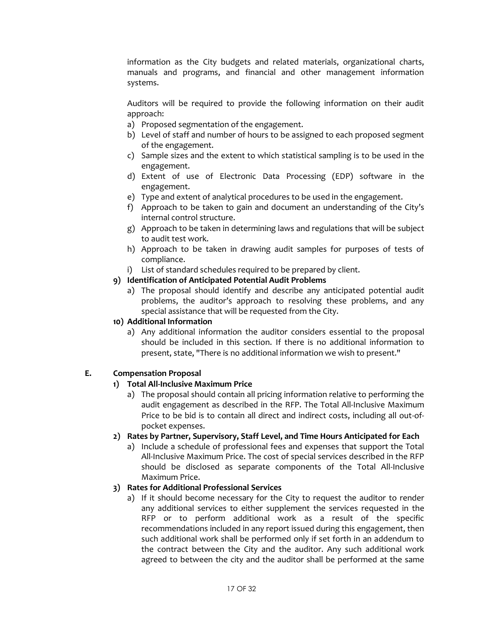information as the City budgets and related materials, organizational charts, manuals and programs, and financial and other management information systems.

Auditors will be required to provide the following information on their audit approach:

- a) Proposed segmentation of the engagement.
- b) Level of staff and number of hours to be assigned to each proposed segment of the engagement.
- c) Sample sizes and the extent to which statistical sampling is to be used in the engagement.
- d) Extent of use of Electronic Data Processing (EDP) software in the engagement.
- e) Type and extent of analytical procedures to be used in the engagement.
- f) Approach to be taken to gain and document an understanding of the City's internal control structure.
- g) Approach to be taken in determining laws and regulations that will be subject to audit test work.
- h) Approach to be taken in drawing audit samples for purposes of tests of compliance.
- i) List of standard schedules required to be prepared by client.

#### **9) Identification of Anticipated Potential Audit Problems**

a) The proposal should identify and describe any anticipated potential audit problems, the auditor's approach to resolving these problems, and any special assistance that will be requested from the City.

#### **10) Additional Information**

a) Any additional information the auditor considers essential to the proposal should be included in this section. If there is no additional information to present, state, "There is no additional information we wish to present."

#### **E. Compensation Proposal**

#### **1) Total All-Inclusive Maximum Price**

a) The proposal should contain all pricing information relative to performing the audit engagement as described in the RFP. The Total All-Inclusive Maximum Price to be bid is to contain all direct and indirect costs, including all out-ofpocket expenses.

#### **2) Rates by Partner, Supervisory, Staff Level, and Time Hours Anticipated for Each**

a) Include a schedule of professional fees and expenses that support the Total All-Inclusive Maximum Price. The cost of special services described in the RFP should be disclosed as separate components of the Total All-Inclusive Maximum Price.

#### **3) Rates for Additional Professional Services**

a) If it should become necessary for the City to request the auditor to render any additional services to either supplement the services requested in the RFP or to perform additional work as a result of the specific recommendations included in any report issued during this engagement, then such additional work shall be performed only if set forth in an addendum to the contract between the City and the auditor. Any such additional work agreed to between the city and the auditor shall be performed at the same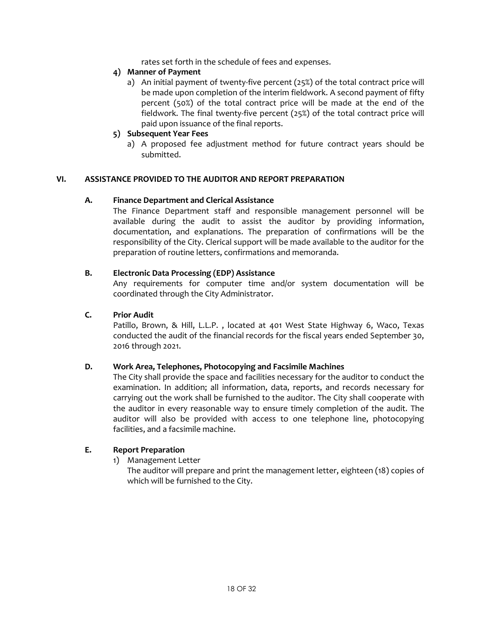rates set forth in the schedule of fees and expenses.

#### **4) Manner of Payment**

a) An initial payment of twenty-five percent (25%) of the total contract price will be made upon completion of the interim fieldwork. A second payment of fifty percent (50%) of the total contract price will be made at the end of the fieldwork. The final twenty-five percent (25%) of the total contract price will paid upon issuance of the final reports.

# **5) Subsequent Year Fees**

a) A proposed fee adjustment method for future contract years should be submitted.

#### **VI. ASSISTANCE PROVIDED TO THE AUDITOR AND REPORT PREPARATION**

#### **A. Finance Department and Clerical Assistance**

The Finance Department staff and responsible management personnel will be available during the audit to assist the auditor by providing information, documentation, and explanations. The preparation of confirmations will be the responsibility of the City. Clerical support will be made available to the auditor for the preparation of routine letters, confirmations and memoranda.

#### **B. Electronic Data Processing (EDP) Assistance**

Any requirements for computer time and/or system documentation will be coordinated through the City Administrator.

#### **C. Prior Audit**

Patillo, Brown, & Hill, L.L.P. , located at 401 West State Highway 6, Waco, Texas conducted the audit of the financial records for the fiscal years ended September 30, 2016 through 2021.

#### **D. Work Area, Telephones, Photocopying and Facsimile Machines**

The City shall provide the space and facilities necessary for the auditor to conduct the examination. In addition; all information, data, reports, and records necessary for carrying out the work shall be furnished to the auditor. The City shall cooperate with the auditor in every reasonable way to ensure timely completion of the audit. The auditor will also be provided with access to one telephone line, photocopying facilities, and a facsimile machine.

#### **E. Report Preparation**

1) Management Letter

The auditor will prepare and print the management letter, eighteen (18) copies of which will be furnished to the City.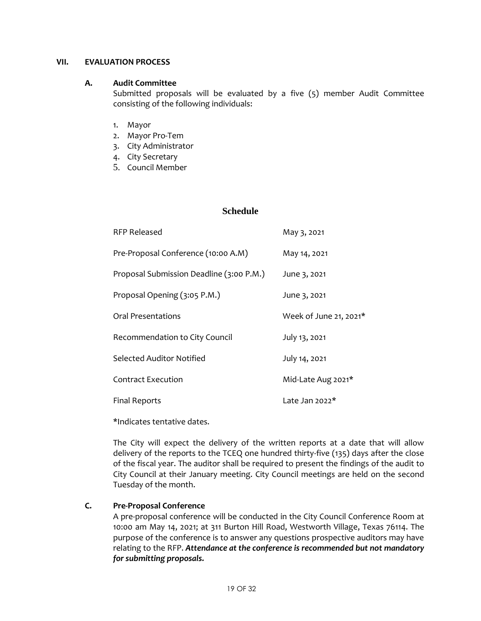#### **VII. EVALUATION PROCESS**

#### **A. Audit Committee**

Submitted proposals will be evaluated by a five (5) member Audit Committee consisting of the following individuals:

- 1. Mayor
- 2. Mayor Pro-Tem
- 3. City Administrator
- 4. City Secretary
- 5. Council Member

#### **Schedule**

| <b>RFP Released</b>                      | May 3, 2021            |
|------------------------------------------|------------------------|
| Pre-Proposal Conference (10:00 A.M)      | May 14, 2021           |
| Proposal Submission Deadline (3:00 P.M.) | June 3, 2021           |
| Proposal Opening (3:05 P.M.)             | June 3, 2021           |
| Oral Presentations                       | Week of June 21, 2021* |
| Recommendation to City Council           | July 13, 2021          |
| Selected Auditor Notified                | July 14, 2021          |
| <b>Contract Execution</b>                | Mid-Late Aug 2021*     |
| <b>Final Reports</b>                     | Late Jan $2022*$       |

\*Indicates tentative dates.

The City will expect the delivery of the written reports at a date that will allow delivery of the reports to the TCEQ one hundred thirty-five (135) days after the close of the fiscal year. The auditor shall be required to present the findings of the audit to City Council at their January meeting. City Council meetings are held on the second Tuesday of the month.

# **C. Pre-Proposal Conference**

A pre-proposal conference will be conducted in the City Council Conference Room at 10:00 am May 14, 2021; at 311 Burton Hill Road, Westworth Village, Texas 76114. The purpose of the conference is to answer any questions prospective auditors may have relating to the RFP. *Attendance at the conference is recommended but not mandatory for submitting proposals.*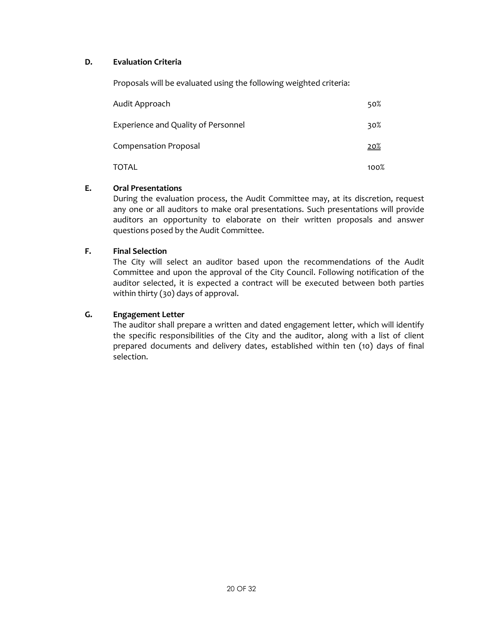#### **D. Evaluation Criteria**

Proposals will be evaluated using the following weighted criteria:

| Audit Approach                             | 50%         |
|--------------------------------------------|-------------|
| <b>Experience and Quality of Personnel</b> | 30%         |
| <b>Compensation Proposal</b>               | <u> 20%</u> |
| TOTAL                                      | 100%        |

#### **E. Oral Presentations**

During the evaluation process, the Audit Committee may, at its discretion, request any one or all auditors to make oral presentations. Such presentations will provide auditors an opportunity to elaborate on their written proposals and answer questions posed by the Audit Committee.

#### **F. Final Selection**

The City will select an auditor based upon the recommendations of the Audit Committee and upon the approval of the City Council. Following notification of the auditor selected, it is expected a contract will be executed between both parties within thirty (30) days of approval.

#### **G. Engagement Letter**

The auditor shall prepare a written and dated engagement letter, which will identify the specific responsibilities of the City and the auditor, along with a list of client prepared documents and delivery dates, established within ten (10) days of final selection.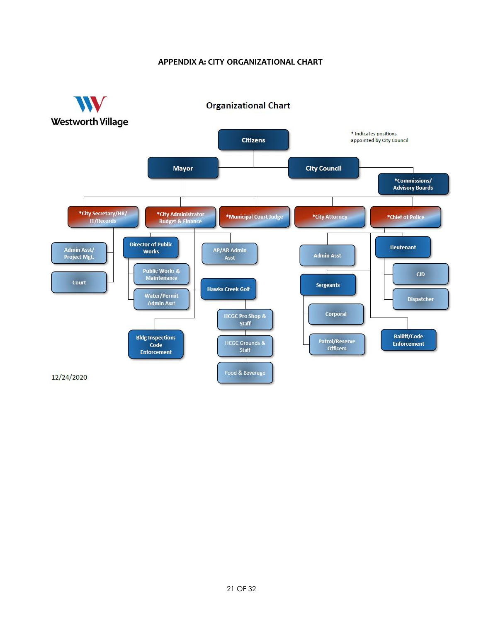# **APPENDIX A: CITY ORGANIZATIONAL CHART**

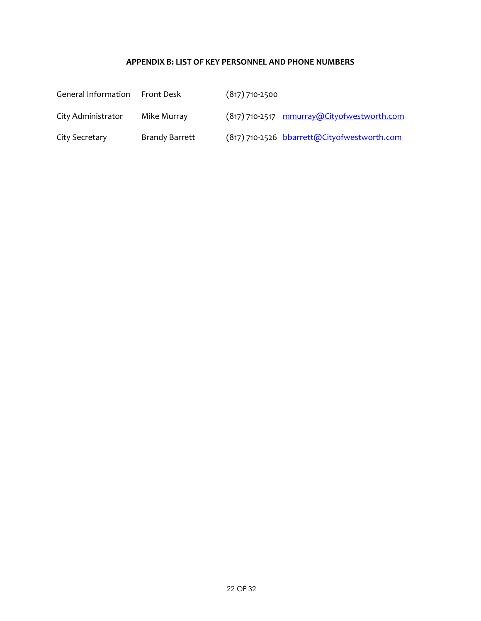# **APPENDIX B: LIST OF KEY PERSONNEL AND PHONE NUMBERS**

| General Information | Front Desk            | $(817)$ 710-2500                            |
|---------------------|-----------------------|---------------------------------------------|
| City Administrator  | Mike Murray           | (817) 710-2517 mmurray@Cityofwestworth.com  |
| City Secretary      | <b>Brandy Barrett</b> | (817) 710-2526 bbarrett@Cityofwestworth.com |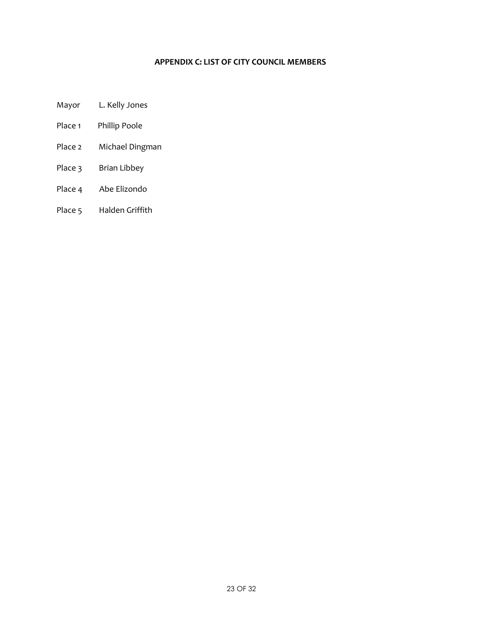# **APPENDIX C: LIST OF CITY COUNCIL MEMBERS**

Mayor L. Kelly Jones

- Place 1 Phillip Poole
- Place 2 Michael Dingman
- Place 3 Brian Libbey
- Place 4 Abe Elizondo
- Place 5 Halden Griffith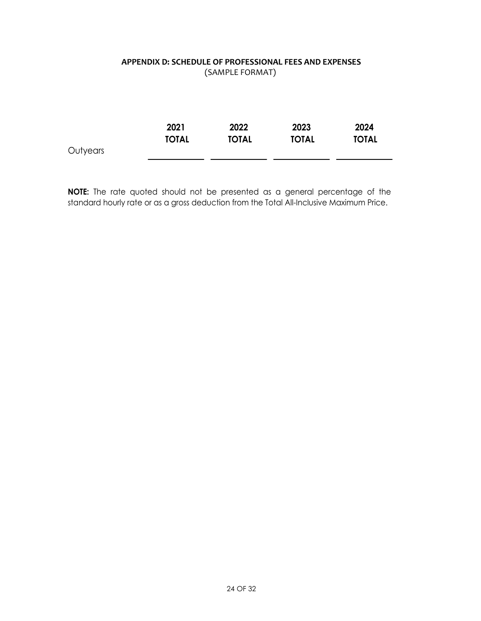# **APPENDIX D: SCHEDULE OF PROFESSIONAL FEES AND EXPENSES** (SAMPLE FORMAT)

|          | 2021         | 2022         | 2023         | 2024         |
|----------|--------------|--------------|--------------|--------------|
|          | <b>TOTAL</b> | <b>TOTAL</b> | <b>TOTAL</b> | <b>TOTAL</b> |
| Outyears |              |              |              |              |

**NOTE:** The rate quoted should not be presented as <sup>a</sup> general percentage of the standard hourly rate or as a gross deduction from the Total All-Inclusive Maximum Price.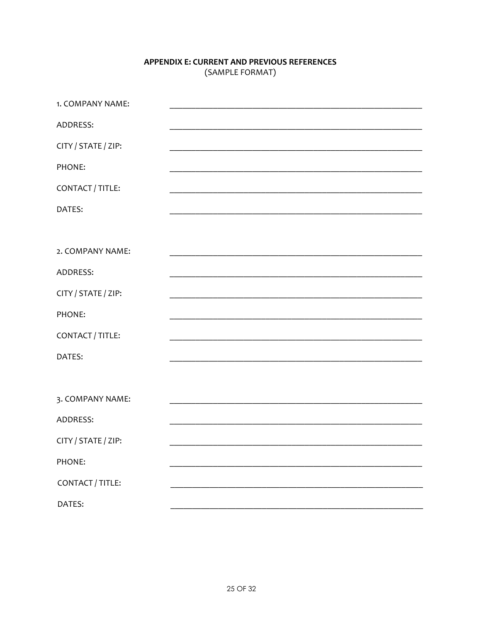# APPENDIX E: CURRENT AND PREVIOUS REFERENCES (SAMPLE FORMAT)

| 1. COMPANY NAME:    |  |
|---------------------|--|
| ADDRESS:            |  |
| CITY / STATE / ZIP: |  |
| PHONE:              |  |
| CONTACT / TITLE:    |  |
| DATES:              |  |
|                     |  |
| 2. COMPANY NAME:    |  |
| ADDRESS:            |  |
| CITY / STATE / ZIP: |  |
| PHONE:              |  |
| CONTACT / TITLE:    |  |
| DATES:              |  |
|                     |  |
| 3. COMPANY NAME:    |  |
| ADDRESS:            |  |
| CITY / STATE / ZIP: |  |
| PHONE:              |  |
| CONTACT / TITLE:    |  |
| DATES:              |  |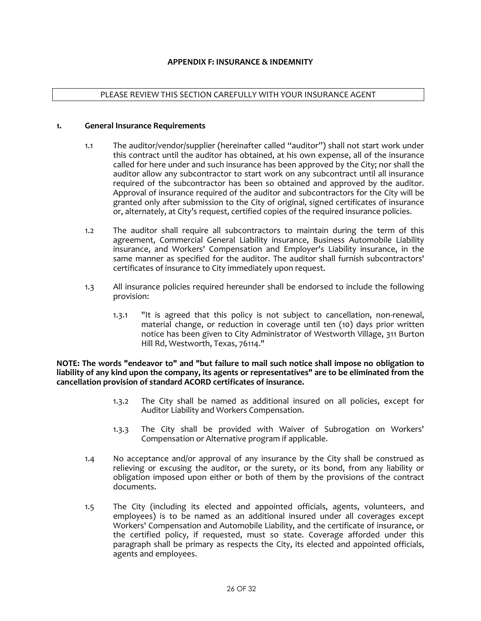#### PLEASE REVIEW THIS SECTION CAREFULLY WITH YOUR INSURANCE AGENT

#### **1. General Insurance Requirements**

- 1.1 The auditor/vendor/supplier (hereinafter called "auditor") shall not start work under this contract until the auditor has obtained, at his own expense, all of the insurance called for here under and such insurance has been approved by the City; nor shall the auditor allow any subcontractor to start work on any subcontract until all insurance required of the subcontractor has been so obtained and approved by the auditor. Approval of insurance required of the auditor and subcontractors for the City will be granted only after submission to the City of original, signed certificates of insurance or, alternately, at City's request, certified copies of the required insurance policies.
- 1.2 The auditor shall require all subcontractors to maintain during the term of this agreement, Commercial General Liability insurance, Business Automobile Liability insurance, and Workers' Compensation and Employer's Liability insurance, in the same manner as specified for the auditor. The auditor shall furnish subcontractors' certificates of insurance to City immediately upon request.
- 1.3 All insurance policies required hereunder shall be endorsed to include the following provision:
	- 1.3.1 "It is agreed that this policy is not subject to cancellation, non-renewal, material change, or reduction in coverage until ten (10) days prior written notice has been given to City Administrator of Westworth Village, 311 Burton Hill Rd, Westworth, Texas, 76114."

**NOTE: The words "endeavor to" and "but failure to mail such notice shall impose no obligation to liability of any kind upon the company, its agents or representatives" are to be eliminated from the cancellation provision of standard ACORD certificates of insurance.**

- 1.3.2 The City shall be named as additional insured on all policies, except for Auditor Liability and Workers Compensation.
- 1.3.3 The City shall be provided with Waiver of Subrogation on Workers' Compensation or Alternative program if applicable.
- 1.4 No acceptance and/or approval of any insurance by the City shall be construed as relieving or excusing the auditor, or the surety, or its bond, from any liability or obligation imposed upon either or both of them by the provisions of the contract documents.
- 1.5 The City (including its elected and appointed officials, agents, volunteers, and employees) is to be named as an additional insured under all coverages except Workers' Compensation and Automobile Liability, and the certificate of insurance, or the certified policy, if requested, must so state. Coverage afforded under this paragraph shall be primary as respects the City, its elected and appointed officials, agents and employees.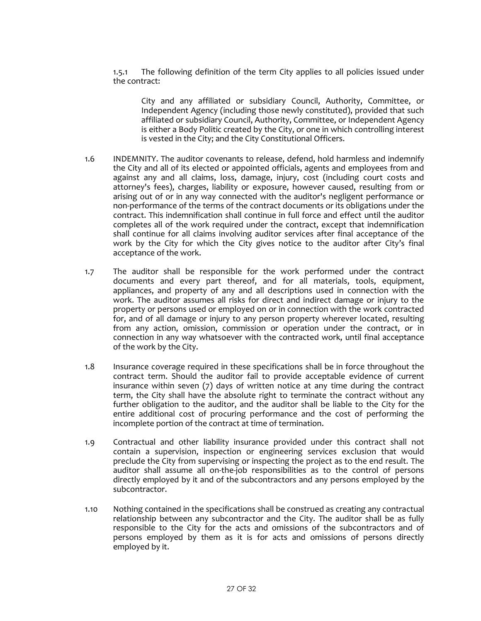1.5.1 The following definition of the term City applies to all policies issued under the contract:

City and any affiliated or subsidiary Council, Authority, Committee, or Independent Agency (including those newly constituted), provided that such affiliated or subsidiary Council, Authority, Committee, or Independent Agency is either a Body Politic created by the City, or one in which controlling interest is vested in the City; and the City Constitutional Officers.

- 1.6 INDEMNITY. The auditor covenants to release, defend, hold harmless and indemnify the City and all of its elected or appointed officials, agents and employees from and against any and all claims, loss, damage, injury, cost (including court costs and attorney's fees), charges, liability or exposure, however caused, resulting from or arising out of or in any way connected with the auditor's negligent performance or non-performance of the terms of the contract documents or its obligations under the contract. This indemnification shall continue in full force and effect until the auditor completes all of the work required under the contract, except that indemnification shall continue for all claims involving auditor services after final acceptance of the work by the City for which the City gives notice to the auditor after City's final acceptance of the work.
- 1.7 The auditor shall be responsible for the work performed under the contract documents and every part thereof, and for all materials, tools, equipment, appliances, and property of any and all descriptions used in connection with the work. The auditor assumes all risks for direct and indirect damage or injury to the property or persons used or employed on or in connection with the work contracted for, and of all damage or injury to any person property wherever located, resulting from any action, omission, commission or operation under the contract, or in connection in any way whatsoever with the contracted work, until final acceptance of the work by the City.
- 1.8 Insurance coverage required in these specifications shall be in force throughout the contract term. Should the auditor fail to provide acceptable evidence of current insurance within seven (7) days of written notice at any time during the contract term, the City shall have the absolute right to terminate the contract without any further obligation to the auditor, and the auditor shall be liable to the City for the entire additional cost of procuring performance and the cost of performing the incomplete portion of the contract at time of termination.
- 1.9 Contractual and other liability insurance provided under this contract shall not contain a supervision, inspection or engineering services exclusion that would preclude the City from supervising or inspecting the project as to the end result. The auditor shall assume all on-the-job responsibilities as to the control of persons directly employed by it and of the subcontractors and any persons employed by the subcontractor.
- 1.10 Nothing contained in the specifications shall be construed as creating any contractual relationship between any subcontractor and the City. The auditor shall be as fully responsible to the City for the acts and omissions of the subcontractors and of persons employed by them as it is for acts and omissions of persons directly employed by it.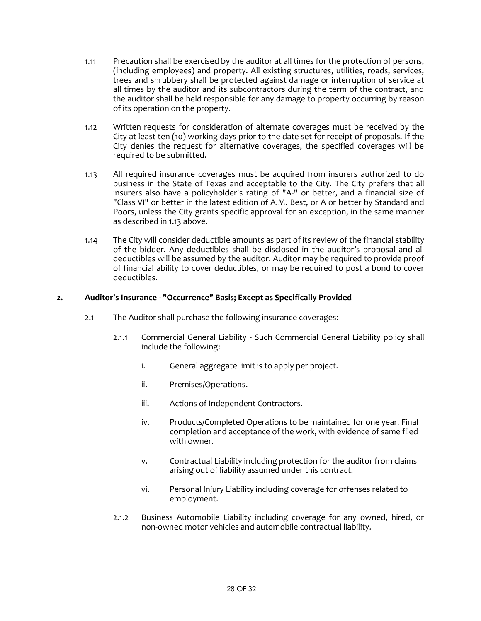- 1.11 Precaution shall be exercised by the auditor at all times for the protection of persons, (including employees) and property. All existing structures, utilities, roads, services, trees and shrubbery shall be protected against damage or interruption of service at all times by the auditor and its subcontractors during the term of the contract, and the auditor shall be held responsible for any damage to property occurring by reason of its operation on the property.
- 1.12 Written requests for consideration of alternate coverages must be received by the City at least ten (10) working days prior to the date set for receipt of proposals. If the City denies the request for alternative coverages, the specified coverages will be required to be submitted.
- 1.13 All required insurance coverages must be acquired from insurers authorized to do business in the State of Texas and acceptable to the City. The City prefers that all insurers also have a policyholder's rating of "A-" or better, and a financial size of "Class VI" or better in the latest edition of A.M. Best, or A or better by Standard and Poors, unless the City grants specific approval for an exception, in the same manner as described in 1.13 above.
- 1.14 The City will consider deductible amounts as part of its review of the financial stability of the bidder. Any deductibles shall be disclosed in the auditor's proposal and all deductibles will be assumed by the auditor. Auditor may be required to provide proof of financial ability to cover deductibles, or may be required to post a bond to cover deductibles.

#### **2. Auditor's Insurance - "Occurrence" Basis; Except as Specifically Provided**

- 2.1 The Auditor shall purchase the following insurance coverages:
	- 2.1.1 Commercial General Liability Such Commercial General Liability policy shall include the following:
		- i. General aggregate limit is to apply per project.
		- ii. Premises/Operations.
		- iii. Actions of Independent Contractors.
		- iv. Products/Completed Operations to be maintained for one year. Final completion and acceptance of the work, with evidence of same filed with owner.
		- v. Contractual Liability including protection for the auditor from claims arising out of liability assumed under this contract.
		- vi. Personal Injury Liability including coverage for offenses related to employment.
	- 2.1.2 Business Automobile Liability including coverage for any owned, hired, or non-owned motor vehicles and automobile contractual liability.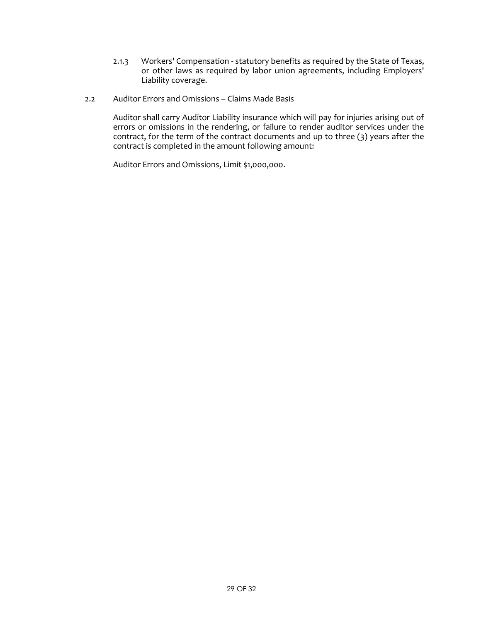- 2.1.3 Workers' Compensation statutory benefits as required by the State of Texas, or other laws as required by labor union agreements, including Employers' Liability coverage.
- 2.2 Auditor Errors and Omissions Claims Made Basis

Auditor shall carry Auditor Liability insurance which will pay for injuries arising out of errors or omissions in the rendering, or failure to render auditor services under the contract, for the term of the contract documents and up to three (3) years after the contract is completed in the amount following amount:

Auditor Errors and Omissions, Limit \$1,000,000.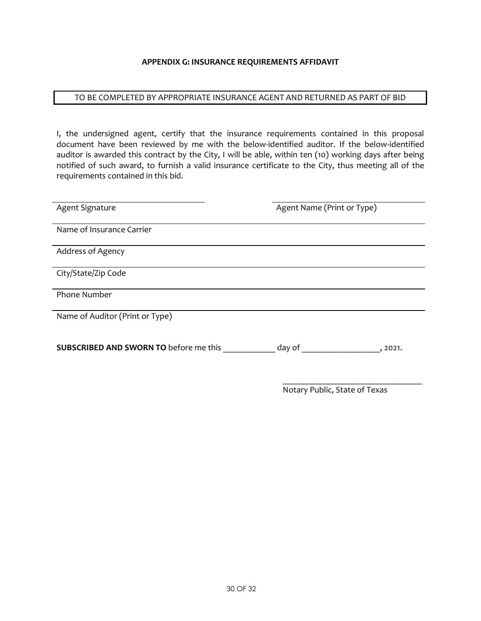#### **APPENDIX G: INSURANCE REQUIREMENTS AFFIDAVIT**

#### TO BE COMPLETED BY APPROPRIATE INSURANCE AGENT AND RETURNED AS PART OF BID

I, the undersigned agent, certify that the insurance requirements contained in this proposal document have been reviewed by me with the below-identified auditor. If the below-identified auditor is awarded this contract by the City, I will be able, within ten (10) working days after being notified of such award, to furnish a valid insurance certificate to the City, thus meeting all of the requirements contained in this bid.

| Agent Signature                               | Agent Name (Print or Type) |
|-----------------------------------------------|----------------------------|
| Name of Insurance Carrier                     |                            |
| Address of Agency                             |                            |
| City/State/Zip Code                           |                            |
| Phone Number                                  |                            |
| Name of Auditor (Print or Type)               |                            |
| <b>SUBSCRIBED AND SWORN TO before me this</b> | day of<br>, 2021.          |

Notary Public, State of Texas

\_\_\_\_\_\_\_\_\_\_\_\_\_\_\_\_\_\_\_\_\_\_\_\_\_\_\_\_\_\_\_\_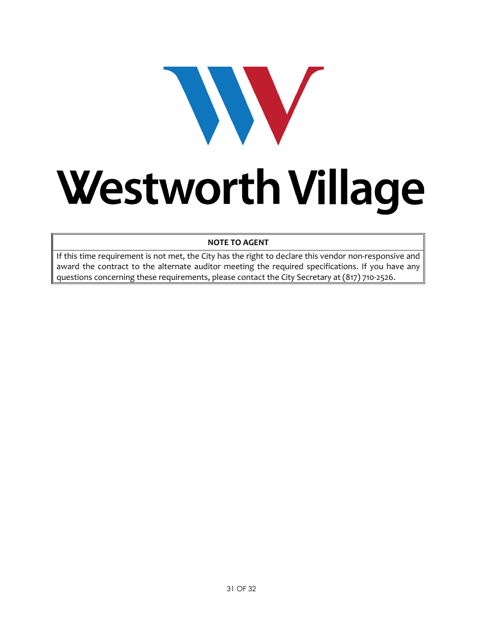# WV Westworth Village

# **NOTE TO AGENT**

If this time requirement is not met, the City has the right to declare this vendor non-responsive and award the contract to the alternate auditor meeting the required specifications. If you have any questions concerning these requirements, please contact the City Secretary at (817) 710-2526.